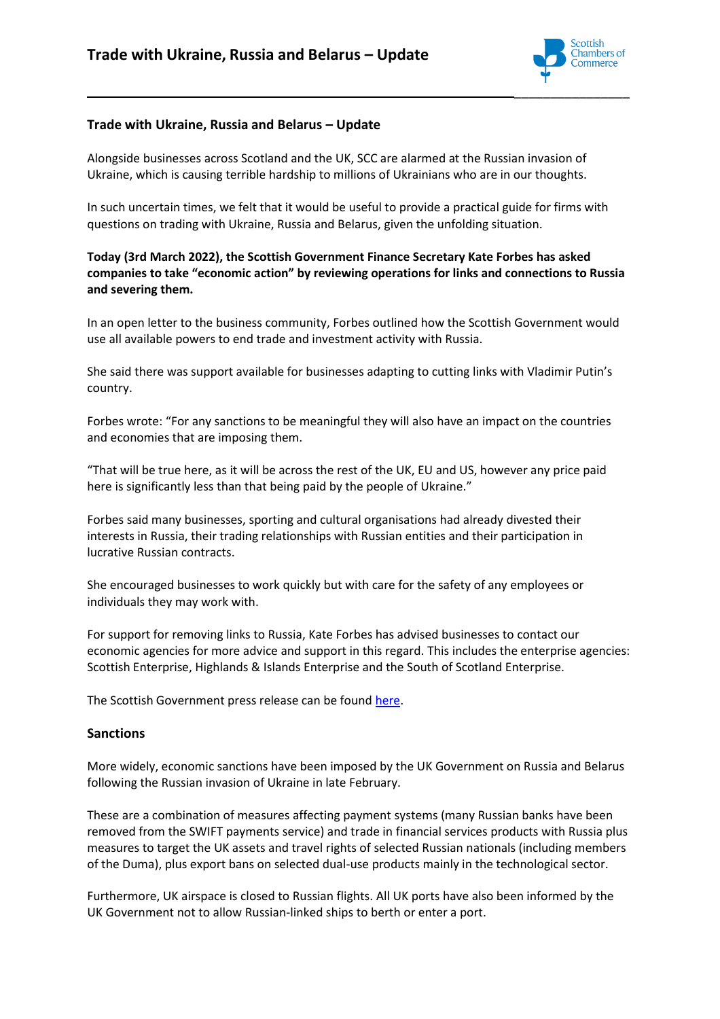

# **Trade with Ukraine, Russia and Belarus – Update**

Alongside businesses across Scotland and the UK, SCC are alarmed at the Russian invasion of Ukraine, which is causing terrible hardship to millions of Ukrainians who are in our thoughts.

In such uncertain times, we felt that it would be useful to provide a practical guide for firms with questions on trading with Ukraine, Russia and Belarus, given the unfolding situation.

## **Today (3rd March 2022), the Scottish Government Finance Secretary Kate Forbes has asked companies to take "economic action" by reviewing operations for links and connections to Russia and severing them.**

In an open letter to the business community, Forbes outlined how the Scottish Government would use all available powers to end trade and investment activity with Russia.

She said there was support available for businesses adapting to cutting links with Vladimir Putin's country.

Forbes wrote: "For any sanctions to be meaningful they will also have an impact on the countries and economies that are imposing them.

"That will be true here, as it will be across the rest of the UK, EU and US, however any price paid here is significantly less than that being paid by the people of Ukraine."

Forbes said many businesses, sporting and cultural organisations had already divested their interests in Russia, their trading relationships with Russian entities and their participation in lucrative Russian contracts.

She encouraged businesses to work quickly but with care for the safety of any employees or individuals they may work with.

For support for removing links to Russia, Kate Forbes has advised businesses to contact our economic agencies for more advice and support in this regard. This includes the enterprise agencies: Scottish Enterprise, Highlands & Islands Enterprise and the South of Scotland Enterprise.

The Scottish Government press release can be found [here.](https://www.gov.scot/news/stop-trading-with-russia/)

## **Sanctions**

More widely, economic sanctions have been imposed by the UK Government on Russia and Belarus following the Russian invasion of Ukraine in late February.

These are a combination of measures affecting payment systems (many Russian banks have been removed from the SWIFT payments service) and trade in financial services products with Russia plus measures to target the UK assets and travel rights of selected Russian nationals (including members of the Duma), plus export bans on selected dual-use products mainly in the technological sector.

Furthermore, UK airspace is closed to Russian flights. All UK ports have also been informed by the UK Government not to allow Russian-linked ships to berth or enter a port.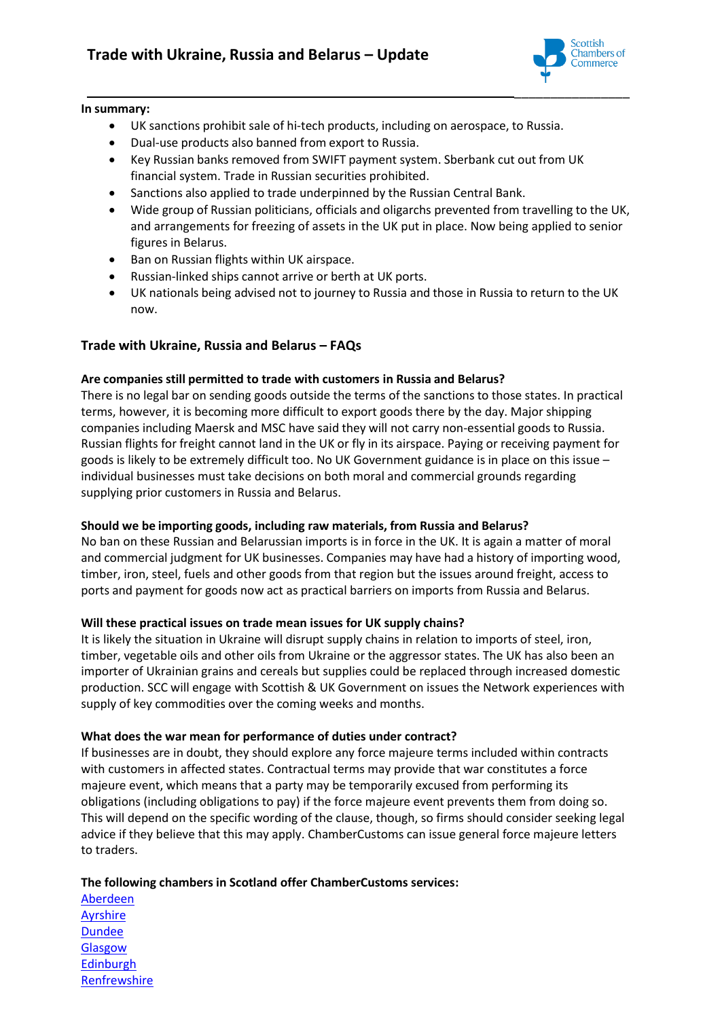

#### **In summary:**

- UK sanctions prohibit sale of hi-tech products, including on aerospace, to Russia.
- Dual-use products also banned from export to Russia.
- Key Russian banks removed from SWIFT payment system. Sberbank cut out from UK financial system. Trade in Russian securities prohibited.
- Sanctions also applied to trade underpinned by the Russian Central Bank.
- Wide group of Russian politicians, officials and oligarchs prevented from travelling to the UK, and arrangements for freezing of assets in the UK put in place. Now being applied to senior figures in Belarus.
- Ban on Russian flights within UK airspace.
- Russian-linked ships cannot arrive or berth at UK ports.
- UK nationals being advised not to journey to Russia and those in Russia to return to the UK now.

# **Trade with Ukraine, Russia and Belarus – FAQs**

## **Are companies still permitted to trade with customers in Russia and Belarus?**

There is no legal bar on sending goods outside the terms of the sanctions to those states. In practical terms, however, it is becoming more difficult to export goods there by the day. Major shipping companies including Maersk and MSC have said they will not carry non-essential goods to Russia. Russian flights for freight cannot land in the UK or fly in its airspace. Paying or receiving payment for goods is likely to be extremely difficult too. No UK Government guidance is in place on this issue – individual businesses must take decisions on both moral and commercial grounds regarding supplying prior customers in Russia and Belarus.

## **Should we be importing goods, including raw materials, from Russia and Belarus?**

No ban on these Russian and Belarussian imports is in force in the UK. It is again a matter of moral and commercial judgment for UK businesses. Companies may have had a history of importing wood, timber, iron, steel, fuels and other goods from that region but the issues around freight, access to ports and payment for goods now act as practical barriers on imports from Russia and Belarus.

## **Will these practical issues on trade mean issues for UK supply chains?**

It is likely the situation in Ukraine will disrupt supply chains in relation to imports of steel, iron, timber, vegetable oils and other oils from Ukraine or the aggressor states. The UK has also been an importer of Ukrainian grains and cereals but supplies could be replaced through increased domestic production. SCC will engage with Scottish & UK Government on issues the Network experiences with supply of key commodities over the coming weeks and months.

## **What does the war mean for performance of duties under contract?**

If businesses are in doubt, they should explore any force majeure terms included within contracts with customers in affected states. Contractual terms may provide that war constitutes a force majeure event, which means that a party may be temporarily excused from performing its obligations (including obligations to pay) if the force majeure event prevents them from doing so. This will depend on the specific wording of the clause, though, so firms should consider seeking legal advice if they believe that this may apply. ChamberCustoms can issue general force majeure letters to traders.

## **The following chambers in Scotland offer ChamberCustoms services:**

[Aberdeen](https://www.agcc.co.uk/helping-your-business/international-markets/chamber-customs) **[Ayrshire](https://www.ayrshire-chamber.org/international/chamber-customs)** [Dundee](https://www.dundeeandanguschamber.co.uk/219_CustomsClearance.html) [Glasgow](https://glasgowchamberofcommerce.com/international/chambercustoms/) **[Edinburgh](https://www.edinburghchamber.co.uk/customs-documentation-services/)** [Renfrewshire](https://www.renfrewshirechamber.com/chamber-customs/)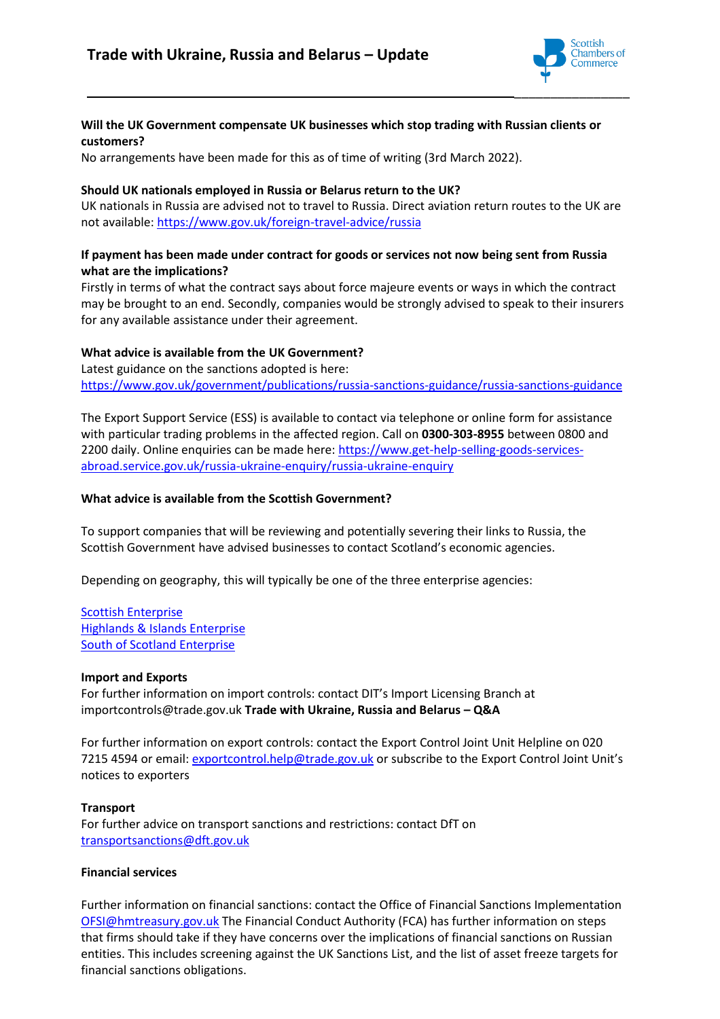

## **Will the UK Government compensate UK businesses which stop trading with Russian clients or customers?**

No arrangements have been made for this as of time of writing (3rd March 2022).

#### **Should UK nationals employed in Russia or Belarus return to the UK?**

UK nationals in Russia are advised not to travel to Russia. Direct aviation return routes to the UK are not available:<https://www.gov.uk/foreign-travel-advice/russia>

#### **If payment has been made under contract for goods or services not now being sent from Russia what are the implications?**

Firstly in terms of what the contract says about force majeure events or ways in which the contract may be brought to an end. Secondly, companies would be strongly advised to speak to their insurers for any available assistance under their agreement.

## **What advice is available from the UK Government?**

Latest guidance on the sanctions adopted is here: <https://www.gov.uk/government/publications/russia-sanctions-guidance/russia-sanctions-guidance>

The Export Support Service (ESS) is available to contact via telephone or online form for assistance with particular trading problems in the affected region. Call on **0300-303-8955** between 0800 and 2200 daily. Online enquiries can be made here[: https://www.get-help-selling-goods-services](https://www.get-help-selling-goods-services-abroad.service.gov.uk/russia-ukraine-enquiry/russia-ukraine-enquiry)[abroad.service.gov.uk/russia-ukraine-enquiry/russia-ukraine-enquiry](https://www.get-help-selling-goods-services-abroad.service.gov.uk/russia-ukraine-enquiry/russia-ukraine-enquiry)

#### **What advice is available from the Scottish Government?**

To support companies that will be reviewing and potentially severing their links to Russia, the Scottish Government have advised businesses to contact Scotland's economic agencies.

Depending on geography, this will typically be one of the three enterprise agencies:

[Scottish Enterprise](https://www.scottish-enterprise.com/) [Highlands & Islands Enterprise](https://www.hie.co.uk/) [South of Scotland Enterprise](https://www.southofscotlandenterprise.com/)

#### **Import and Exports**

For further information on import controls: contact DIT's Import Licensing Branch at importcontrols@trade.gov.uk **Trade with Ukraine, Russia and Belarus – Q&A** 

For further information on export controls: contact the Export Control Joint Unit Helpline on 020 7215 4594 or email[: exportcontrol.help@trade.gov.uk](mailto:exportcontrol.help@trade.gov.uk) or subscribe to the Export Control Joint Unit's notices to exporters

#### **Transport**

For further advice on transport sanctions and restrictions: contact DfT on [transportsanctions@dft.gov.uk](mailto:transportsanctions@dft.gov.uk)

#### **Financial services**

Further information on financial sanctions: contact the Office of Financial Sanctions Implementation [OFSI@hmtreasury.gov.uk](mailto:OFSI@hmtreasury.gov.uk) The Financial Conduct Authority (FCA) has further information on steps that firms should take if they have concerns over the implications of financial sanctions on Russian entities. This includes screening against the UK Sanctions List, and the list of asset freeze targets for financial sanctions obligations.